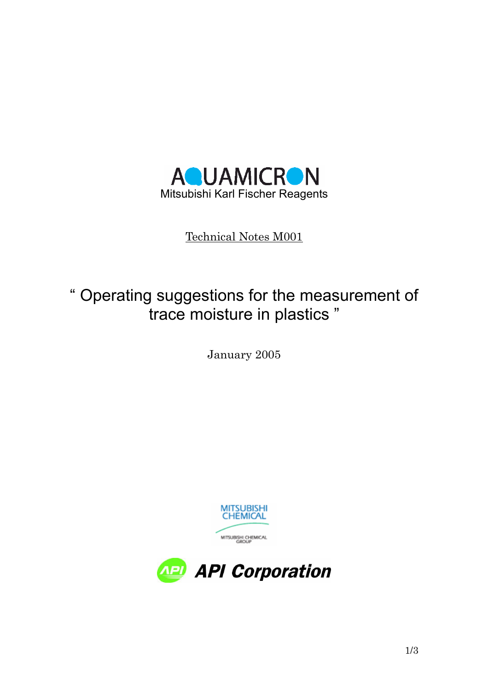

Technical Notes M001

# " Operating suggestions for the measurement of trace moisture in plastics "

January 2005



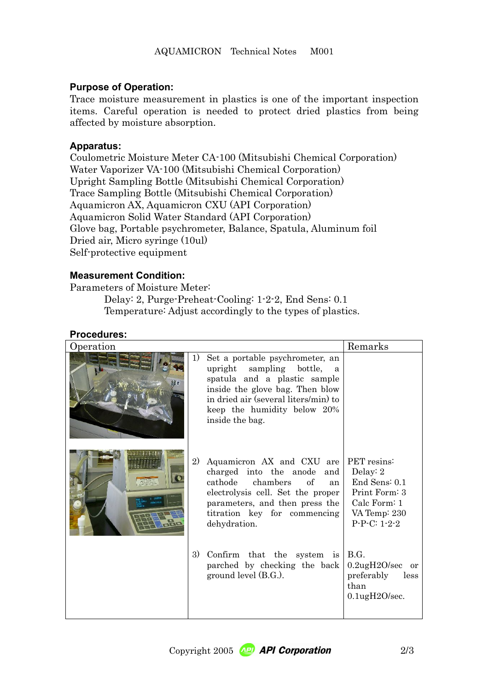## **Purpose of Operation:**

Trace moisture measurement in plastics is one of the important inspection items. Careful operation is needed to protect dried plastics from being affected by moisture absorption.

#### **Apparatus:**

Coulometric Moisture Meter CA-100 (Mitsubishi Chemical Corporation) Water Vaporizer VA-100 (Mitsubishi Chemical Corporation) Upright Sampling Bottle (Mitsubishi Chemical Corporation) Trace Sampling Bottle (Mitsubishi Chemical Corporation) Aquamicron AX, Aquamicron CXU (API Corporation) Aquamicron Solid Water Standard (API Corporation) Glove bag, Portable psychrometer, Balance, Spatula, Aluminum foil Dried air, Micro syringe (10ul) Self-protective equipment

### **Measurement Condition:**

Parameters of Moisture Meter:

Delay: 2, Purge-Preheat-Cooling: 1-2-2, End Sens: 0.1 Temperature: Adjust accordingly to the types of plastics.

### **Procedures:**

| Operation |    |                                                                                                                                                                                                                                       | Remarks                                                                                        |  |  |
|-----------|----|---------------------------------------------------------------------------------------------------------------------------------------------------------------------------------------------------------------------------------------|------------------------------------------------------------------------------------------------|--|--|
|           | 1) | Set a portable psychrometer, an<br>upright sampling bottle, a<br>spatula and a plastic sample<br>inside the glove bag. Then blow<br>in dried air (several liters/min) to<br>keep the humidity below 20%<br>inside the bag.            |                                                                                                |  |  |
|           | 2) | Aquamicron AX and CXU are PET resins:<br>charged into the anode and<br>cathode chambers<br><sub>of</sub><br>an<br>electrolysis cell. Set the proper<br>parameters, and then press the<br>titration key for commencing<br>dehydration. | Delay: 2<br>End Sens: 0.1<br>Print Form: 3<br>Calc Form: $1$<br>VA Temp: 230<br>$P-P-C: 1-2-2$ |  |  |
|           | 3) | Confirm that the system is<br>parched by checking the back<br>ground level (B.G.).                                                                                                                                                    | <b>B.G.</b><br>$0.2$ ug $H2O/sec$ or<br>preferably<br>less<br>than<br>$0.1$ ug $H2O/sec$ .     |  |  |